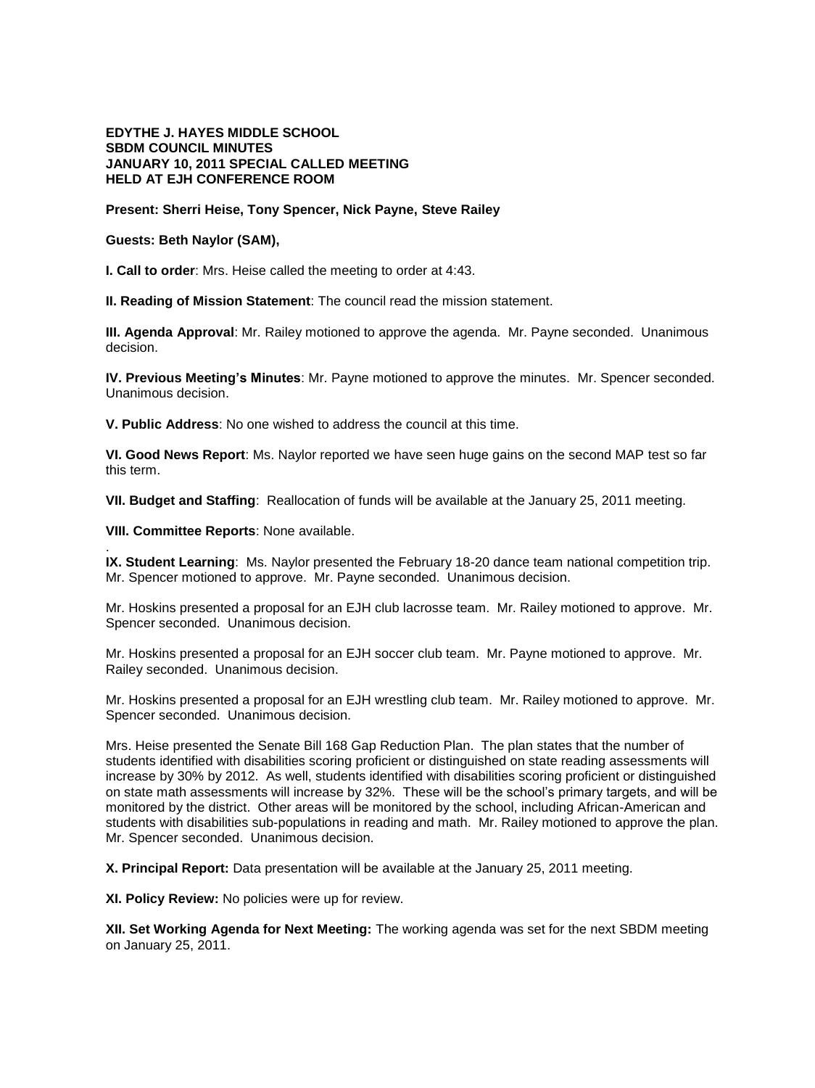## **EDYTHE J. HAYES MIDDLE SCHOOL SBDM COUNCIL MINUTES JANUARY 10, 2011 SPECIAL CALLED MEETING HELD AT EJH CONFERENCE ROOM**

## **Present: Sherri Heise, Tony Spencer, Nick Payne, Steve Railey**

## **Guests: Beth Naylor (SAM),**

**I. Call to order**: Mrs. Heise called the meeting to order at 4:43.

**II. Reading of Mission Statement**: The council read the mission statement.

**III. Agenda Approval**: Mr. Railey motioned to approve the agenda. Mr. Payne seconded. Unanimous decision.

**IV. Previous Meeting's Minutes**: Mr. Payne motioned to approve the minutes. Mr. Spencer seconded. Unanimous decision.

**V. Public Address**: No one wished to address the council at this time.

**VI. Good News Report**: Ms. Naylor reported we have seen huge gains on the second MAP test so far this term.

**VII. Budget and Staffing**: Reallocation of funds will be available at the January 25, 2011 meeting.

**VIII. Committee Reports**: None available.

.

**IX. Student Learning**: Ms. Naylor presented the February 18-20 dance team national competition trip. Mr. Spencer motioned to approve. Mr. Payne seconded. Unanimous decision.

Mr. Hoskins presented a proposal for an EJH club lacrosse team. Mr. Railey motioned to approve. Mr. Spencer seconded. Unanimous decision.

Mr. Hoskins presented a proposal for an EJH soccer club team. Mr. Payne motioned to approve. Mr. Railey seconded. Unanimous decision.

Mr. Hoskins presented a proposal for an EJH wrestling club team. Mr. Railey motioned to approve. Mr. Spencer seconded. Unanimous decision.

Mrs. Heise presented the Senate Bill 168 Gap Reduction Plan. The plan states that the number of students identified with disabilities scoring proficient or distinguished on state reading assessments will increase by 30% by 2012. As well, students identified with disabilities scoring proficient or distinguished on state math assessments will increase by 32%. These will be the school's primary targets, and will be monitored by the district. Other areas will be monitored by the school, including African-American and students with disabilities sub-populations in reading and math. Mr. Railey motioned to approve the plan. Mr. Spencer seconded. Unanimous decision.

**X. Principal Report:** Data presentation will be available at the January 25, 2011 meeting.

**XI. Policy Review:** No policies were up for review.

**XII. Set Working Agenda for Next Meeting:** The working agenda was set for the next SBDM meeting on January 25, 2011.